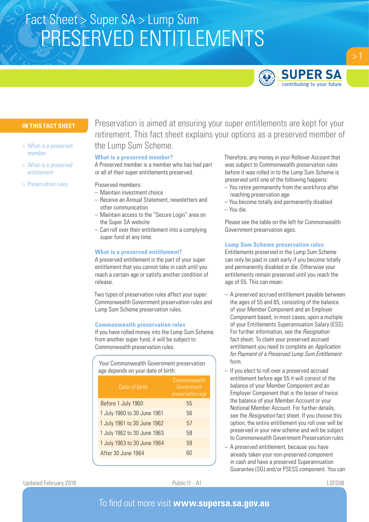# PRESERVED ENTITLEMENTS Fact Sheet > Super SA > Lump Sum



# **IN THIS FACT SHEET**

- > What is a preserved member
- > What is a preserved entitlement
- > Preservation rules

Preservation is aimed at ensuring your super entitlements are kept for your retirement. This fact sheet explains your options as a preserved member of the Lump Sum Scheme.

## **What is a preserved member?**

A Preserved member is a member who has had part or all of their super entitlements preserved.

- Preserved members:
- Maintain investment choice
- Receive an Annual Statement, newsletters and other communication
- Maintain access to the "Secure Login" area on the Super SA website
- Can roll over their entitlement into a complying super fund at any time.

# **What is a preserved entitlement?**

A preserved entitlement is the part of your super entitlement that you cannot take in cash until you reach a certain age or satisfy another condition of release.

Two types of preservation rules affect your super: Commonwealth Government preservation rules and Lump Sum Scheme preservation rules.

## **Commonwealth preservation rules**

If you have rolled money into the Lump Sum Scheme from another super fund, it will be subject to Commonwealth preservation rules.

Your Commonwealth Government preservation age depends on your date of birth:

| Date of birth               | Commonwealth<br>Government<br>preservation age |
|-----------------------------|------------------------------------------------|
| Before 1 July 1960          | 55                                             |
| 1 July 1960 to 30 June 1961 | 56                                             |
| 1 July 1961 to 30 June 1962 | 57                                             |
| 1 July 1962 to 30 June 1963 | 58                                             |
| 1 July 1963 to 30 June 1964 | 59                                             |
| After 30 June 1964          | 60                                             |

Therefore, any money in your Rollover Account that was subject to Commonwealth preservation rules before it was rolled in to the Lump Sum Scheme is preserved until one of the following happens:

- You retire permanently from the workforce after reaching preservation age
- You become totally and permanently disabled – You die.

Please see the table on the left for Commonwealth Government preservation ages.

# **Lump Sum Scheme preservation rules**

Entitlements preserved in the Lump Sum Scheme can only be paid in cash early if you become totally and permanently disabled or die. Otherwise your entitlements remain preserved until you reach the age of 55. This can mean:

- A preserved accrued entitlement payable between the ages of 55 and 65, consisting of the balance of your Member Component and an Employer Component based, in most cases, upon a multiple of your Entitlements Superannuation Salary (ESS). For further information, see the *Resignation* fact sheet. To claim your preserved accrued entitlement you need to complete an *Application for Payment of a Preserved Lump Sum Entitlement* form.
- If you elect to roll over a preserved accrued entitlement before age 55 it will consist of the balance of your Member Component and an Employer Component that is the lesser of twice the balance of your Member Account or your Notional Member Account. For further details, see the *Resignation* fact sheet. If you choose this option, the entire entitlement you roll over will be preserved in your new scheme and will be subject to Commonwealth Government Preservation rules.
- A preserved entitlement, because you have already taken your non-preserved component in cash and have a preserved Superannuation Guarantee (SG) and/or PSESS component. You can